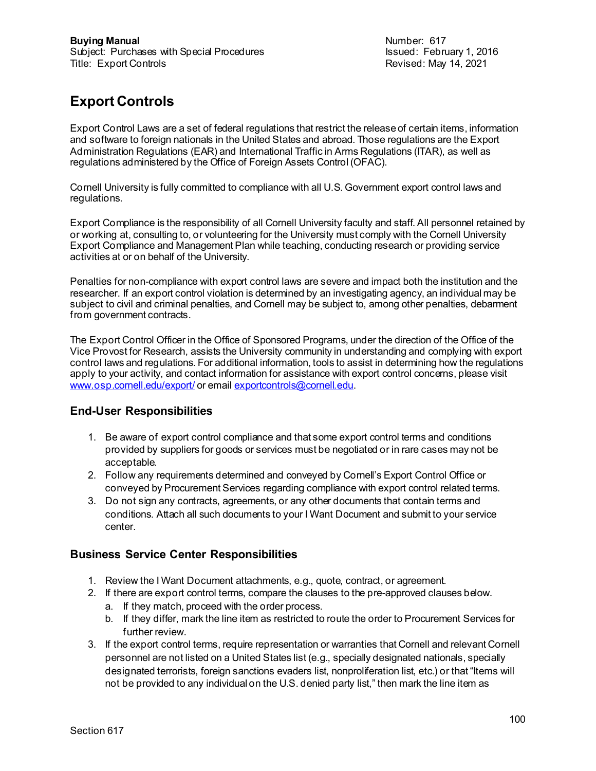Revised: May 14, 2021

# **Export Controls**

Export Control Laws are a set of federal regulations that restrict the release of certain items, information and software to foreign nationals in the United States and abroad. Those regulations are the Export Administration Regulations (EAR) and International Traffic in Arms Regulations (ITAR), as well as regulations administered by the Office of Foreign Assets Control (OFAC).

Cornell University is fully committed to compliance with all U.S. Government export control laws and regulations.

Export Compliance is the responsibility of all Cornell University faculty and staff. All personnel retained by or working at, consulting to, or volunteering for the University must comply with the Cornell University Export Compliance and Management Plan while teaching, conducting research or providing service activities at or on behalf of the University.

Penalties for non-compliance with export control laws are severe and impact both the institution and the researcher. If an export control violation is determined by an investigating agency, an individual may be subject to civil and criminal penalties, and Cornell may be subject to, among other penalties, debarment from government contracts.

The Export Control Officer in the Office of Sponsored Programs, under the direction of the Office of the Vice Provost for Research, assists the University community in understanding and complying with export control laws and regulations. For additional information, tools to assist in determining how the regulations apply to your activity, and contact information for assistance with export control concerns, please visit [www.osp.cornell.edu/export/](http://www.osp.cornell.edu/export/) or emai[l exportcontrols@cornell.edu](mailto:exportcontrols@cornell.edu).

### **End-User Responsibilities**

- 1. Be aware of export control compliance and that some export control terms and conditions provided by suppliers for goods or services must be negotiated or in rare cases may not be acceptable.
- 2. Follow any requirements determined and conveyed by Cornell's Export Control Office or conveyed by Procurement Services regarding compliance with export control related terms.
- 3. Do not sign any contracts, agreements, or any other documents that contain terms and conditions. Attach all such documents to your I Want Document and submit to your service center.

### **Business Service Center Responsibilities**

- 1. Review the I Want Document attachments, e.g., quote, contract, or agreement.
- 2. If there are export control terms, compare the clauses to the pre-approved clauses below.
	- a. If they match, proceed with the order process.
	- b. If they differ, mark the line item as restricted to route the order to Procurement Services for further review.
- 3. If the export control terms, require representation or warranties that Cornell and relevant Cornell personnel are not listed on a United States list (e.g., specially designated nationals, specially designated terrorists, foreign sanctions evaders list, nonproliferation list, etc.) or that "Items will not be provided to any individual on the U.S. denied party list," then mark the line item as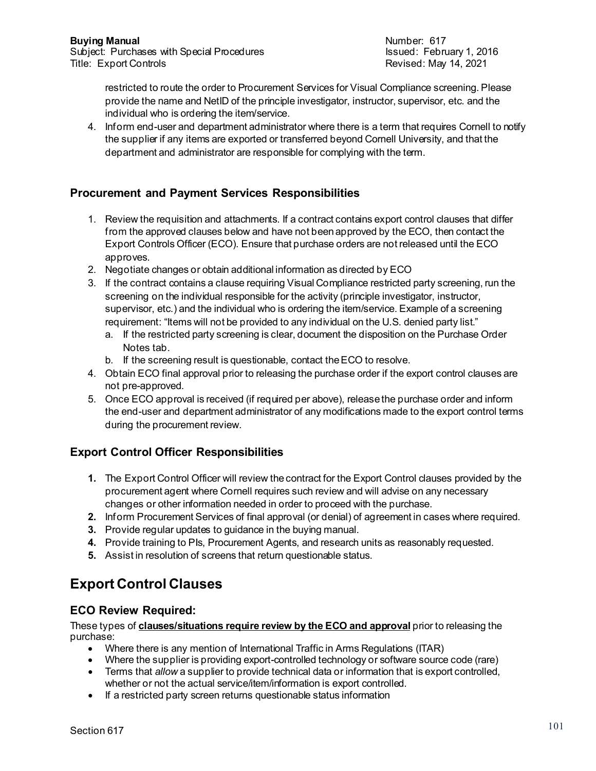Revised: May 14, 2021

restricted to route the order to Procurement Services for Visual Compliance screening. Please provide the name and NetID of the principle investigator, instructor, supervisor, etc. and the individual who is ordering the item/service.

4. Inform end-user and department administrator where there is a term that requires Cornell to notify the supplier if any items are exported or transferred beyond Cornell University, and that the department and administrator are responsible for complying with the term.

### **Procurement and Payment Services Responsibilities**

- 1. Review the requisition and attachments. If a contract contains export control clauses that differ from the approved clauses below and have not been approved by the ECO, then contact the Export Controls Officer (ECO). Ensure that purchase orders are not released until the ECO approves.
- 2. Negotiate changes or obtain additional information as directed by ECO
- 3. If the contract contains a clause requiring Visual Compliance restricted party screening, run the screening on the individual responsible for the activity (principle investigator, instructor, supervisor, etc.) and the individual who is ordering the item/service. Example of a screening requirement: "Items will not be provided to any individual on the U.S. denied party list."
	- a. If the restricted party screening is clear, document the disposition on the Purchase Order Notes tab.
	- b. If the screening result is questionable, contact the ECO to resolve.
- 4. Obtain ECO final approval prior to releasing the purchase order if the export control clauses are not pre-approved.
- 5. Once ECO approval is received (if required per above), release the purchase order and inform the end-user and department administrator of any modifications made to the export control terms during the procurement review.

### **Export Control Officer Responsibilities**

- **1.** The Export Control Officer will review the contract for the Export Control clauses provided by the procurement agent where Cornell requires such review and will advise on any necessary changes or other information needed in order to proceed with the purchase.
- **2.** Inform Procurement Services of final approval (or denial) of agreement in cases where required.
- **3.** Provide regular updates to guidance in the buying manual.
- **4.** Provide training to PIs, Procurement Agents, and research units as reasonably requested.
- **5.** Assist in resolution of screens that return questionable status.

## **Export Control Clauses**

### **ECO Review Required:**

These types of **clauses/situations require review by the ECO and approval** prior to releasing the purchase:

- Where there is any mention of International Traffic in Arms Regulations (ITAR)
- Where the supplier is providing export-controlled technology or software source code (rare)
- Terms that *allow* a supplier to provide technical data or information that is export controlled, whether or not the actual service/item/information is export controlled.
- If a restricted party screen returns questionable status information